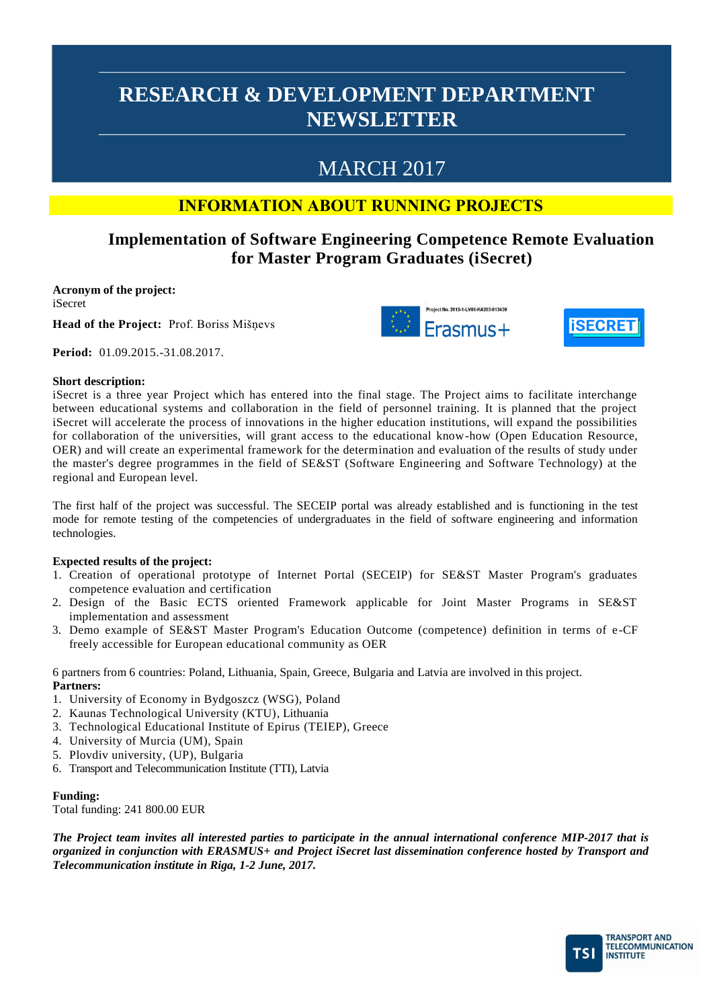# MARCH 2017

## **INFORMATION ABOUT RUNNING PROJECTS**

## **Implementation of Software Engineering Competence Remote Evaluation for Master Program Graduates (iSecret)**

**Acronym of the project:** iSecret

**Head of the Project:** Prof. Boriss Mišņevs

t No. 2015-1-LV01-KA203-01343 Erasmus+



**Period:** 01.09.2015.-31.08.2017.

### **Short description:**

iSecret is a three year Project which has entered into the final stage. The Project aims to facilitate interchange between educational systems and collaboration in the field of personnel training. It is planned that the project iSecret will accelerate the process of innovations in the higher education institutions, will expand the possibilities for collaboration of the universities, will grant access to the educational know-how (Open Education Resource, OER) and will create an experimental framework for the determination and evaluation of the results of study under the master's degree programmes in the field of SE&ST (Software Engineering and Software Technology) at the regional and European level.

The first half of the project was successful. The SECEIP portal was already established and is functioning in the test mode for remote testing of the competencies of undergraduates in the field of software engineering and information technologies.

### **Expected results of the project:**

- 1. Creation of operational prototype of Internet Portal (SECEIP) for SE&ST Master Program's graduates competence evaluation and certification
- 2. Design of the Basic ECTS oriented Framework applicable for Joint Master Programs in SE&ST implementation and assessment
- 3. Demo example of SE&ST Master Program's Education Outcome (competence) definition in terms of e-CF freely accessible for European educational community as OER

6 partners from 6 countries: Poland, Lithuania, Spain, Greece, Bulgaria and Latvia are involved in this project. **Partners:**

- 1. University of Economy in Bydgoszcz (WSG), Poland
- 2. Kaunas Technological University (KTU), Lithuania
- 3. Technological Educational Institute of Epirus (TEIEP), Greece
- 4. University of Murcia (UM), Spain
- 5. Plovdiv university, (UP), Bulgaria
- 6. Transport and Telecommunication Institute (TTI), Latvia

### **Funding:**

Total funding: 241 800.00 EUR

*The Project team invites all interested parties to participate in the annual international conference MIP-2017 that is organized in conjunction with ERASMUS+ and Project iSecret last dissemination conference hosted by Transport and Telecommunication institute in Riga, 1-2 June, 2017.* 

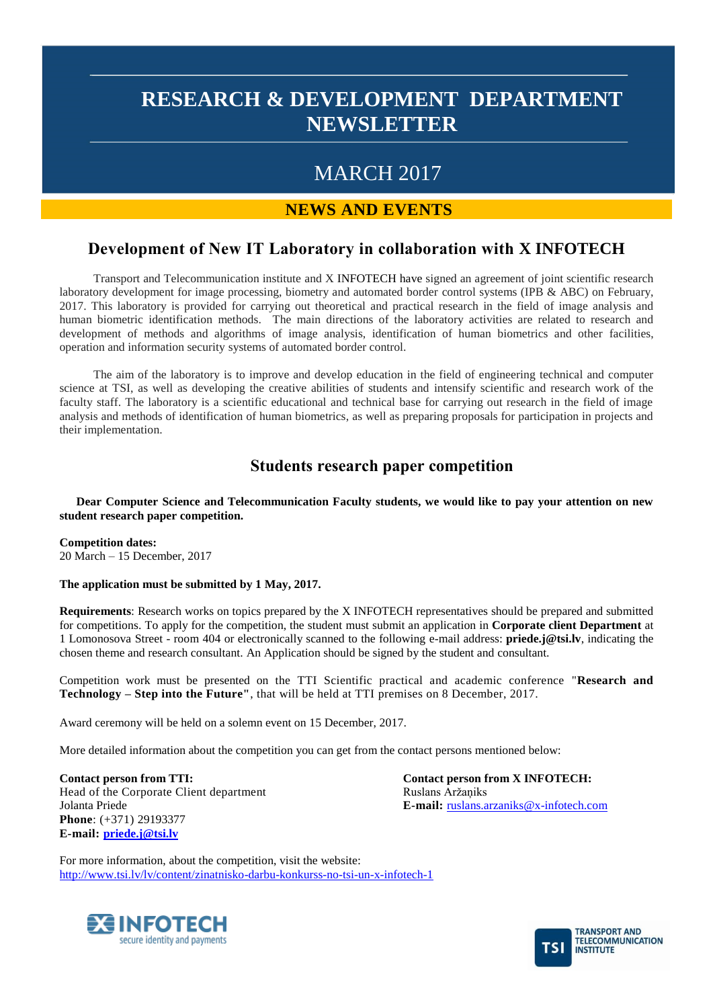## MARCH 2017

### **NEWS AND EVENTS**

## **Development of New IT Laboratory in collaboration with X INFOTECH**

Transport and Telecommunication institute and X INFOTECH have signed an agreement of joint scientific research laboratory development for image processing, biometry and automated border control systems (IPB & ABC) on February, 2017. This laboratory is provided for carrying out theoretical and practical research in the field of image analysis and human biometric identification methods. The main directions of the laboratory activities are related to research and development of methods and algorithms of image analysis, identification of human biometrics and other facilities, operation and information security systems of automated border control.

The aim of the laboratory is to improve and develop education in the field of engineering technical and computer science at TSI, as well as developing the creative abilities of students and intensify scientific and research work of the faculty staff. The laboratory is a scientific educational and technical base for carrying out research in the field of image analysis and methods of identification of human biometrics, as well as preparing proposals for participation in projects and their implementation.

### **Students research paper competition**

**Dear Computer Science and Telecommunication Faculty students, we would like to pay your attention on new student research paper competition.**

**Competition dates:** 20 March – 15 December, 2017

### **The application must be submitted by 1 May, 2017.**

**Requirements**: Research works on topics prepared by the X INFOTECH representatives should be prepared and submitted for competitions. To apply for the competition, the student must submit an application in **Corporate client Department** at 1 Lomonosova Street - room 404 or electronically scanned to the following e-mail address: **priede.j@tsi.lv**, indicating the chosen theme and research consultant. An Application should be signed by the student and consultant.

Competition work must be presented on the TTI Scientific practical and academic conference "**Research and Technology – Step into the Future"**, that will be held at TTI premises on 8 December, 2017.

Award ceremony will be held on a solemn event on 15 December, 2017.

More detailed information about the competition you can get from the contact persons mentioned below:

**Contact person from TTI:** Head of the Corporate Client department Jolanta Priede **Phone**: (+371) 29193377 **E-mail: [priede.j@tsi.lv](mailto:priede.j@tsi.lv)**

**Contact person from X INFOTECH:** Ruslans Aržaņiks **E-mail:** [ruslans.arzaniks@x-infotech.com](mailto:ruslans.arzaniks@x-infotech.com)

For more information, about the competition, visit the website: <http://www.tsi.lv/lv/content/zinatnisko-darbu-konkurss-no-tsi-un-x-infotech-1>



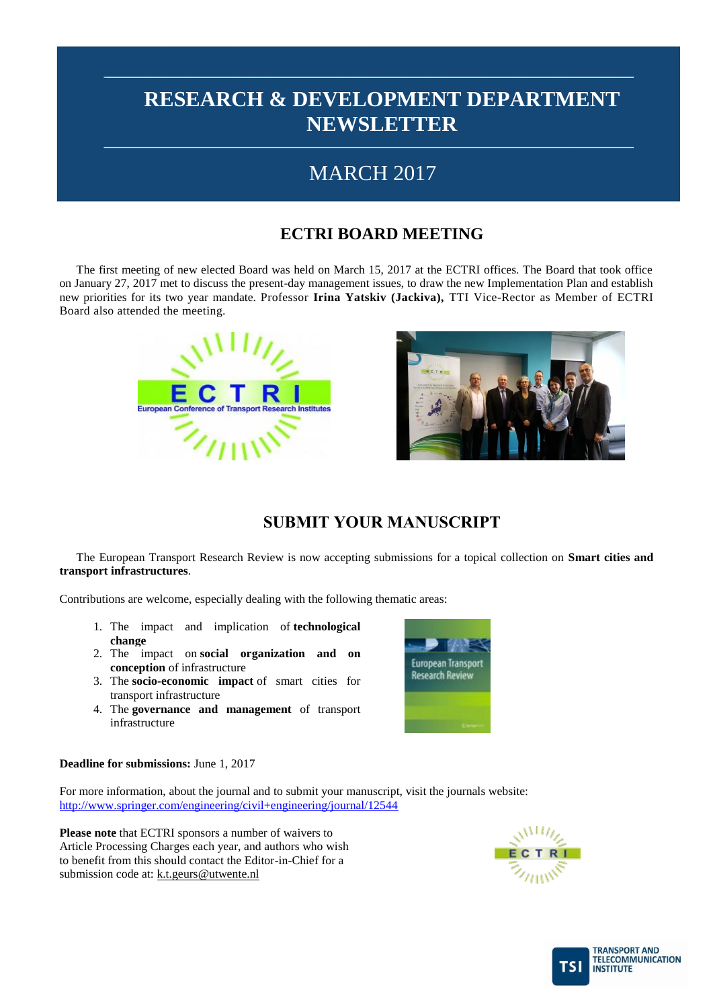## MARCH 2017

## **ECTRI BOARD MEETING**

The first meeting of new elected Board was held on March 15, 2017 at the ECTRI offices. The Board that took office on January 27, 2017 met to discuss the present-day management issues, to draw the new Implementation Plan and establish new priorities for its two year mandate. Professor **Irina Yatskiv (Jackiva),** TTI Vice-Rector as Member of ECTRI Board also attended the meeting.





## **SUBMIT YOUR MANUSCRIPT**

The European Transport Research Review is now accepting submissions for a topical collection on **Smart cities and transport infrastructures**.

Contributions are welcome, especially dealing with the following thematic areas:

- 1. The impact and implication of **technological change**
- 2. The impact on **social organization and on conception** of infrastructure
- 3. The **socio-economic impact** of smart cities for transport infrastructure
- 4. The **governance and management** of transport infrastructure



**Deadline for submissions:** June 1, 2017

For more information, about the journal and to submit your manuscript, visit the journals website: <http://www.springer.com/engineering/civil+engineering/journal/12544>

**Please note** that ECTRI sponsors a number of waivers to Article Processing Charges each year, and authors who wish to benefit from this should contact the Editor-in-Chief for a submission code at: [k.t.geurs@utwente.nl](mailto:k.t.geurs@utwente.nl)



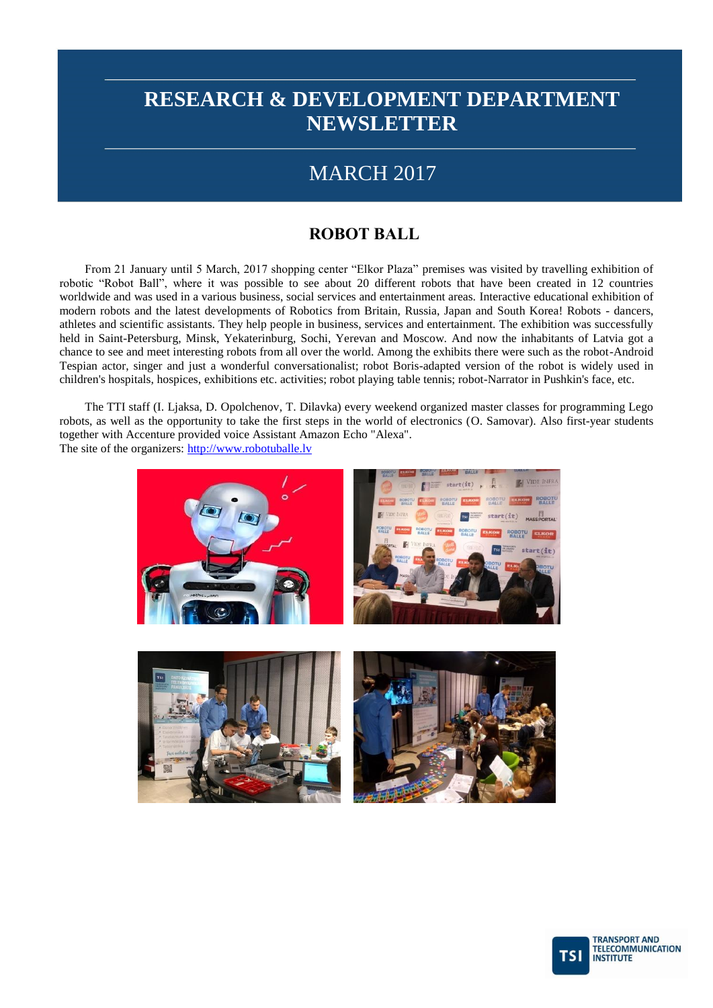## MARCH 2017

## **ROBOT BALL**

From 21 January until 5 March, 2017 shopping center "Elkor Plaza" premises was visited by travelling exhibition of robotic "Robot Ball", where it was possible to see about 20 different robots that have been created in 12 countries worldwide and was used in a various business, social services and entertainment areas. Interactive educational exhibition of modern robots and the latest developments of Robotics from Britain, Russia, Japan and South Korea! Robots - dancers, athletes and scientific assistants. They help people in business, services and entertainment. The exhibition was successfully held in Saint-Petersburg, Minsk, Yekaterinburg, Sochi, Yerevan and Moscow. And now the inhabitants of Latvia got a chance to see and meet interesting robots from all over the world. Among the exhibits there were such as the robot-Android Tespian actor, singer and just a wonderful conversationalist; robot Boris-adapted version of the robot is widely used in children's hospitals, hospices, exhibitions etc. activities; robot playing table tennis; robot-Narrator in Pushkin's face, etc.

The TTI staff (I. Ljaksa, D. Opolchenov, T. Dilavka) every weekend organized master classes for programming Lego robots, as well as the opportunity to take the first steps in the world of electronics (O. Samovar). Also first-year students together with Accenture provided voice Assistant Amazon Echo "Alexa". The site of the organizers: [http://www.robotuballe.lv](http://www.robotuballe.lv/)



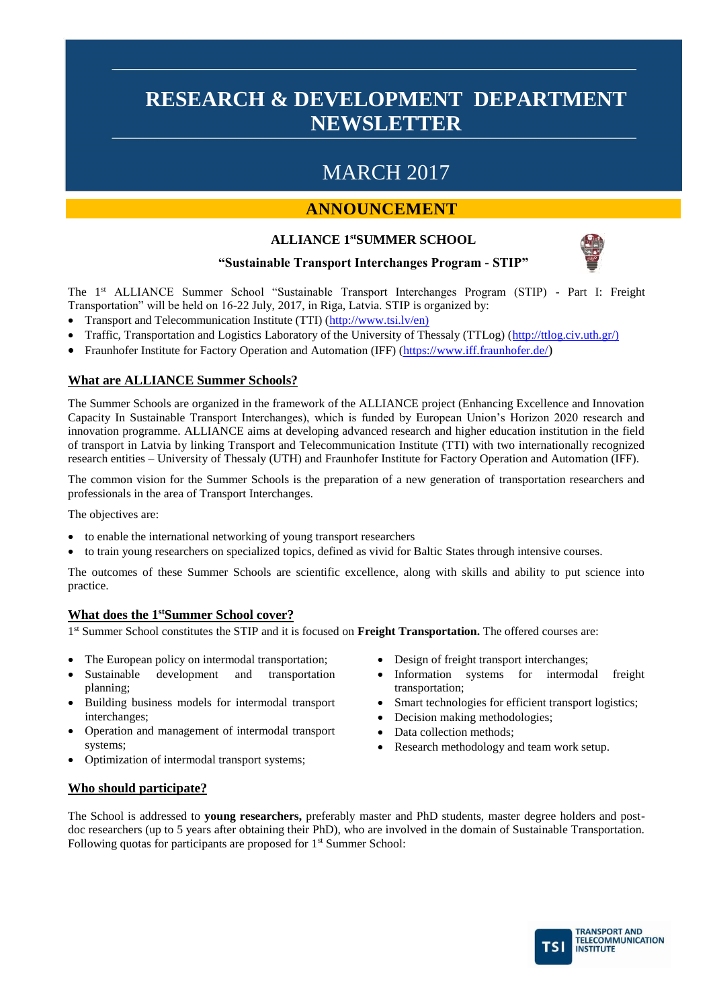# MARCH 2017

## **ANNOUNCEMENT**

### **ALLIANCE 1stSUMMER SCHOOL**



### **"Sustainable Transport Interchanges Program - STIP"**

The 1st ALLIANCE Summer School "Sustainable Transport Interchanges Program (STIP) - Part I: Freight Transportation" will be held on 16-22 July, 2017, in Riga, Latvia. STIP is organized by:

- Transport and Telecommunication Institute (TTI) [\(http://www.tsi.lv/en\)](http://www.tsi.lv/en))
- Traffic, Transportation and Logistics Laboratory of the University of Thessaly (TTLog) [\(http://ttlog.civ.uth.gr/\)](http://ttlog.civ.uth.gr/))
- Fraunhofer Institute for Factory Operation and Automation (IFF) [\(https://www.iff.fraunhofer.de/](https://www.iff.fraunhofer.de/))

### **What are ALLIANCE Summer Schools?**

The Summer Schools are organized in the framework of the ALLIANCE project (Enhancing Excellence and Innovation Capacity In Sustainable Transport Interchanges), which is funded by European Union's Horizon 2020 research and innovation programme. ALLIANCE aims at developing advanced research and higher education institution in the field of transport in Latvia by linking Transport and Telecommunication Institute (TTI) with two internationally recognized research entities – University of Thessaly (UTH) and Fraunhofer Institute for Factory Operation and Automation (IFF).

The common vision for the Summer Schools is the preparation of a new generation of transportation researchers and professionals in the area of Transport Interchanges.

The objectives are:

- to enable the international networking of young transport researchers
- to train young researchers on specialized topics, defined as vivid for Baltic States through intensive courses.

The outcomes of these Summer Schools are scientific excellence, along with skills and ability to put science into practice.

### **What does the 1stSummer School cover?**

1<sup>st</sup> Summer School constitutes the STIP and it is focused on **Freight Transportation.** The offered courses are:

- The European policy on intermodal transportation;
- Sustainable development and transportation planning;
- Building business models for intermodal transport interchanges;
- Operation and management of intermodal transport systems;
- Optimization of intermodal transport systems;
- Design of freight transport interchanges;
- Information systems for intermodal freight transportation;
- Smart technologies for efficient transport logistics;
- Decision making methodologies;
- Data collection methods;
- Research methodology and team work setup.

### **Who should participate?**

The School is addressed to **young researchers,** preferably master and PhD students, master degree holders and postdoc researchers (up to 5 years after obtaining their PhD), who are involved in the domain of Sustainable Transportation. Following quotas for participants are proposed for 1<sup>st</sup> Summer School:

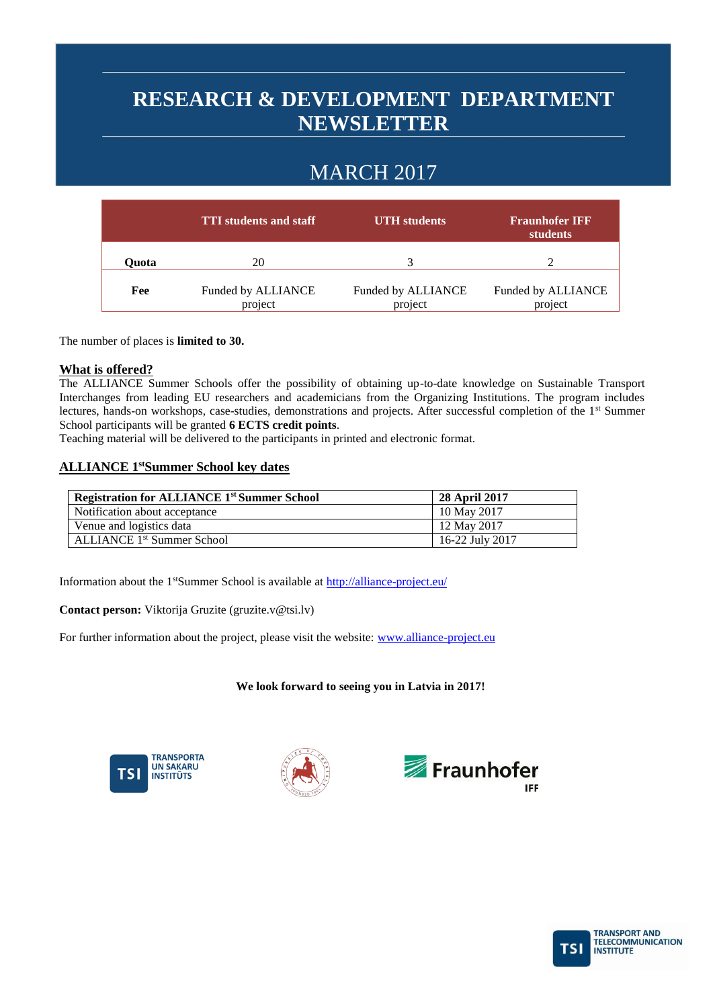# MARCH 2017

|       | <b>TTI</b> students and staff | <b>UTH</b> students           | <b>Fraunhofer IFF</b><br>students |
|-------|-------------------------------|-------------------------------|-----------------------------------|
| Ouota | 20                            |                               |                                   |
| Fee   | Funded by ALLIANCE<br>project | Funded by ALLIANCE<br>project | Funded by ALLIANCE<br>project     |

The number of places is **limited to 30.**

### **What is offered?**

The ALLIANCE Summer Schools offer the possibility of obtaining up-to-date knowledge on Sustainable Transport Interchanges from leading EU researchers and academicians from the Organizing Institutions. The program includes lectures, hands-on workshops, case-studies, demonstrations and projects. After successful completion of the 1<sup>st</sup> Summer School participants will be granted **6 ECTS credit points**.

Teaching material will be delivered to the participants in printed and electronic format.

### **ALLIANCE 1 stSummer School key dates**

| <b>Registration for ALLIANCE 1st Summer School</b> | <b>28 April 2017</b> |
|----------------------------------------------------|----------------------|
| Notification about acceptance                      | 10 May 2017          |
| Venue and logistics data                           | 12 May 2017          |
| <b>ALLIANCE 1st Summer School</b>                  | 16-22 July 2017      |

Information about the 1<sup>st</sup>Summer School is available at<http://alliance-project.eu/>

**Contact person:** Viktorija Gruzite (gruzite.v@tsi.lv)

For further information about the project, please visit the website: [www.alliance-project.eu](http://www.alliance-project.eu/)

### **We look forward to seeing you in Latvia in 2017!**







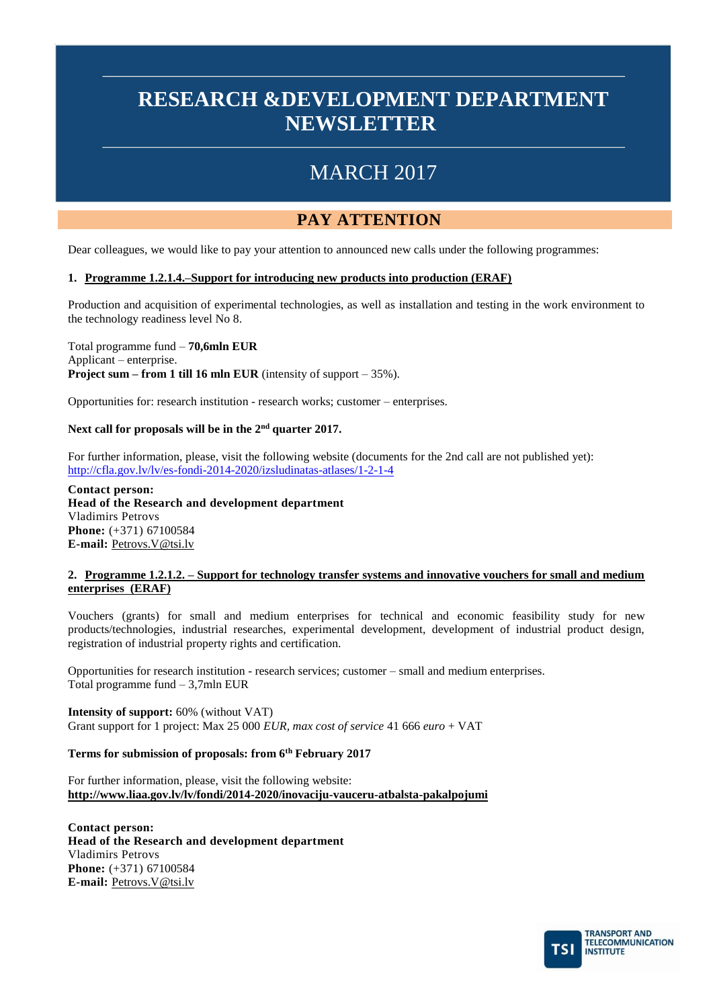# MARCH 2017

## **PAY ATTENTION**

Dear colleagues, we would like to pay your attention to announced new calls under the following programmes:

### **1. Programme 1.2.1.4.–Support for introducing new products into production (ERAF)**

Production and acquisition of experimental technologies, as well as installation and testing in the work environment to the technology readiness level No 8.

Total programme fund – **70,6mln EUR** Applicant – enterprise. **Project sum – from 1 till 16 mln EUR** (intensity of support – 35%).

Opportunities for: research institution - research works; customer – enterprises.

### **Next call for proposals will be in the 2nd quarter 2017.**

For further information, please, visit the following website (documents for the 2nd call are not published yet): <http://cfla.gov.lv/lv/es-fondi-2014-2020/izsludinatas-atlases/1-2-1-4>

**Contact person: Head of the Research and development department** Vladimirs Petrovs **Phone:** (+371) 67100584 **E-mail:** [Petrovs.V@tsi.lv](mailto:Petrovs.V@tsi.lv)

#### **2. Programme 1.2.1.2. – Support for technology transfer systems and innovative vouchers for small and medium enterprises (ERAF)**

Vouchers (grants) for small and medium enterprises for technical and economic feasibility study for new products/technologies, industrial researches, experimental development, development of industrial product design, registration of industrial property rights and certification.

Opportunities for research institution - research services; customer – small and medium enterprises. Total programme fund – 3,7mln EUR

**Intensity of support:** 60% (without VAT) Grant support for 1 project: Max 25 000 *EUR, max cost of service* 41 666 *euro* + VAT

### **Terms for submission of proposals: from 6th February 2017**

For further information, please, visit the following website: **<http://www.liaa.gov.lv/lv/fondi/2014-2020/inovaciju-vauceru-atbalsta-pakalpojumi>**

**Contact person: Head of the Research and development department** Vladimirs Petrovs **Phone:** (+371) 67100584 **E-mail:** [Petrovs.V@tsi.lv](mailto:Petrovs.V@tsi.lv)